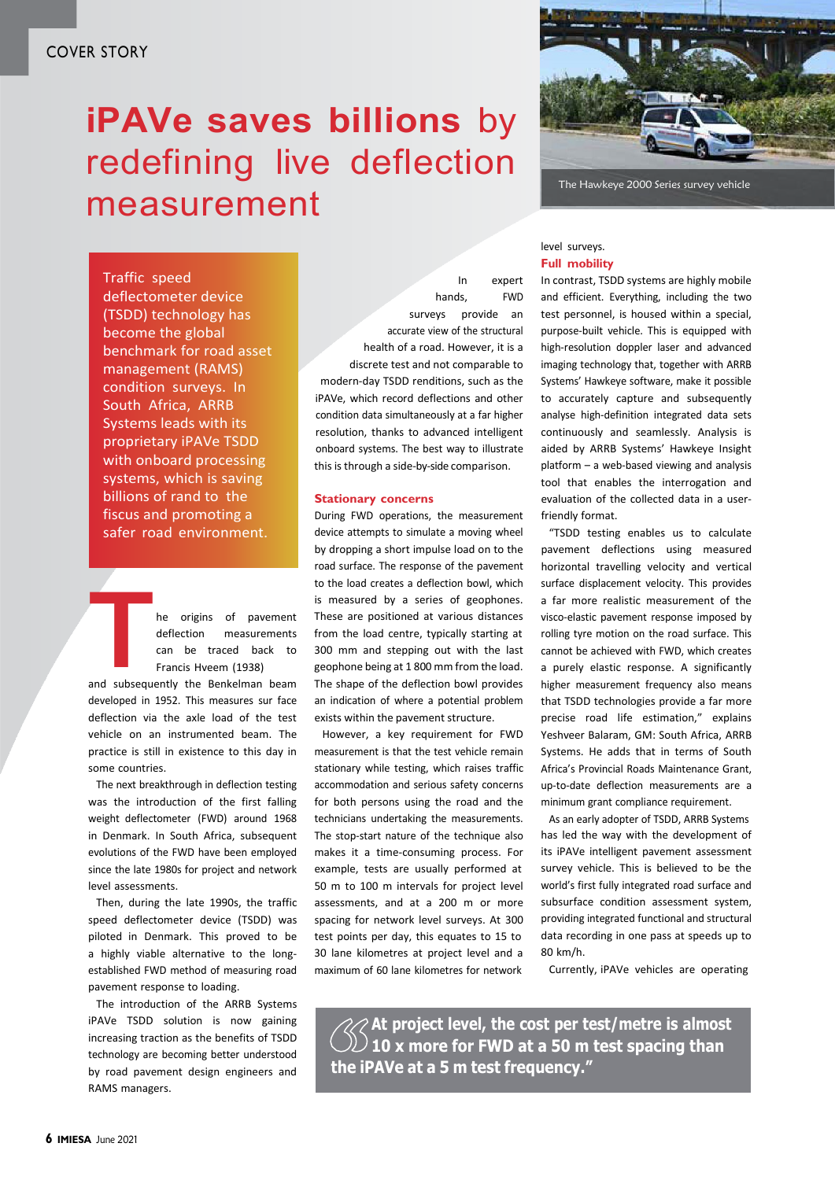# **iPAVe saves billions** by redefining live deflection measurement



The Hawkeye 2000 Series survey vehicle

Traffic speed deflectometer device (TSDD) technology has become the global benchmark for road asset management (RAMS) condition surveys. In South Africa, ARRB Systems leads with its proprietary iPAVe TSDD with onboard processing systems, which is saving billions of rand to the fiscus and promoting a safer road environment.

> he origins of pavement deflection measurements can be traced back to Francis Hveem (1938)

**T**<br>and subseque and subsequently the Benkelman beam developed in 1952. This measures sur face deflection via the axle load of the test vehicle on an instrumented beam. The practice is still in existence to this day in some countries.

The next breakthrough in deflection testing was the introduction of the first falling weight deflectometer (FWD) around 1968 in Denmark. In South Africa, subsequent evolutions of the FWD have been employed since the late 1980s for project and network level assessments.

Then, during the late 1990s, the traffic speed deflectometer device (TSDD) was piloted in Denmark. This proved to be a highly viable alternative to the longestablished FWD method of measuring road pavement response to loading.

The introduction of the ARRB Systems iPAVe TSDD solution is now gaining increasing traction as the benefits of TSDD technology are becoming better understood by road pavement design engineers and RAMS managers.

In expert hands, FWD surveys provide an accurate view of the structural health of a road. However, it is a discrete test and not comparable to modern-day TSDD renditions, such as the iPAVe, which record deflections and other condition data simultaneously at a far higher resolution, thanks to advanced intelligent onboard systems. The best way to illustrate this is through a side-by-side comparison.

### **Stationary concerns**

During FWD operations, the measurement device attempts to simulate a moving wheel by dropping a short impulse load on to the road surface. The response of the pavement to the load creates a deflection bowl, which is measured by a series of geophones. These are positioned at various distances from the load centre, typically starting at 300 mm and stepping out with the last geophone being at 1 800 mm from the load. The shape of the deflection bowl provides an indication of where a potential problem exists within the pavement structure.

However, a key requirement for FWD measurement is that the test vehicle remain stationary while testing, which raises traffic accommodation and serious safety concerns for both persons using the road and the technicians undertaking the measurements. The stop-start nature of the technique also makes it a time-consuming process. For example, tests are usually performed at 50 m to 100 m intervals for project level assessments, and at a 200 m or more spacing for network level surveys. At 300 test points per day, this equates to 15 to 30 lane kilometres at project level and a maximum of 60 lane kilometres for network

### level surveys. **Full mobility**

In contrast, TSDD systems are highly mobile and efficient. Everything, including the two test personnel, is housed within a special, purpose-built vehicle. This is equipped with high-resolution doppler laser and advanced imaging technology that, together with ARRB Systems' Hawkeye software, make it possible to accurately capture and subsequently analyse high-definition integrated data sets continuously and seamlessly. Analysis is aided by ARRB Systems' Hawkeye Insight platform – a web-based viewing and analysis tool that enables the interrogation and evaluation of the collected data in a userfriendly format.

"TSDD testing enables us to calculate pavement deflections using measured horizontal travelling velocity and vertical surface displacement velocity. This provides a far more realistic measurement of the visco-elastic pavement response imposed by rolling tyre motion on the road surface. This cannot be achieved with FWD, which creates a purely elastic response. A significantly higher measurement frequency also means that TSDD technologies provide a far more precise road life estimation," explains Yeshveer Balaram, GM: South Africa, ARRB Systems. He adds that in terms of South Africa's Provincial Roads Maintenance Grant, up-to-date deflection measurements are a minimum grant compliance requirement.

As an early adopter of TSDD, ARRB Systems has led the way with the development of its iPAVe intelligent pavement assessment survey vehicle. This is believed to be the world's first fully integrated road surface and subsurface condition assessment system, providing integrated functional and structural data recording in one pass at speeds up to 80 km/h.

Currently, iPAVe vehicles are operating

**At project level, the cost per test/metre is almost 10 x more for FWD at a 50 m test spacing than the iPAVe at a 5 m test frequency."**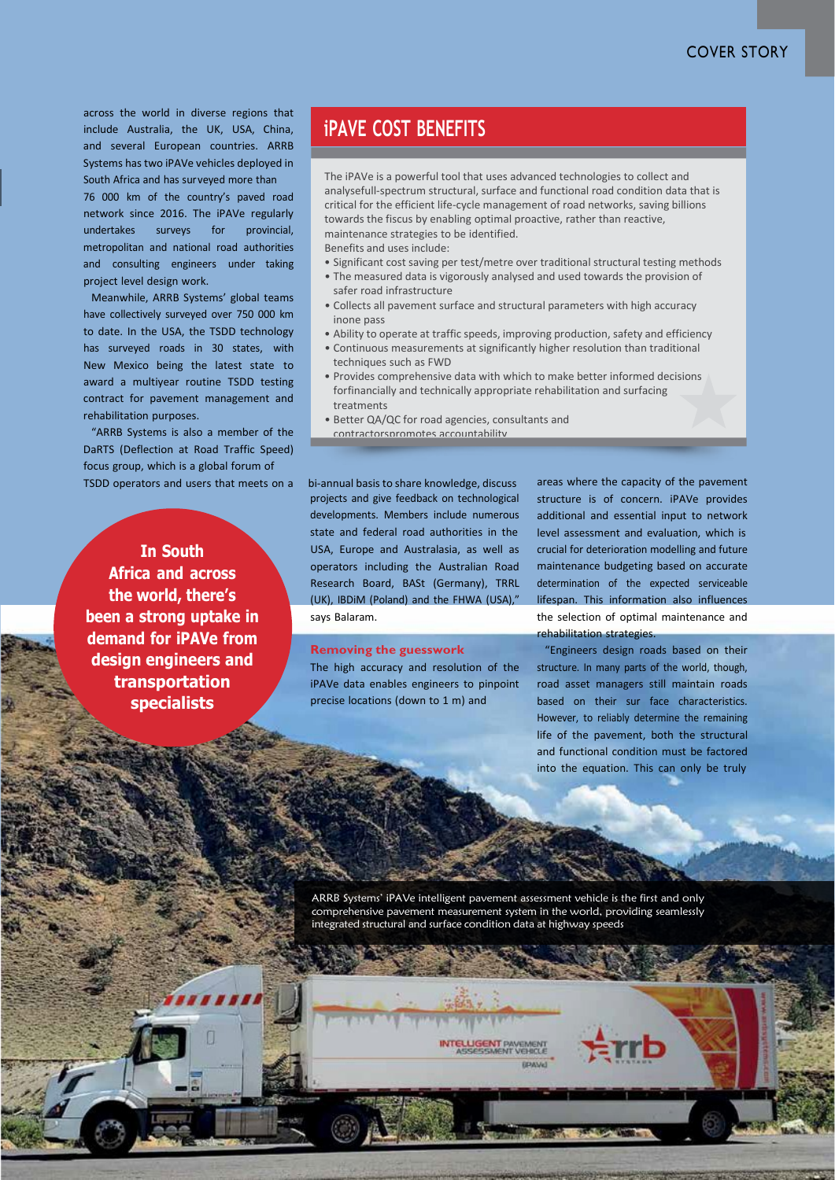across the world in diverse regions that include Australia, the UK, USA, China, and several European countries. ARRB Systems has two iPAVe vehicles deployed in South Africa and has surveyed more than

76 000 km of the country's paved road network since 2016. The iPAVe regularly undertakes surveys for provincial, metropolitan and national road authorities and consulting engineers under taking project level design work.

Meanwhile, ARRB Systems' global teams have collectively surveyed over 750 000 km to date. In the USA, the TSDD technology has surveyed roads in 30 states, with New Mexico being the latest state to award a multiyear routine TSDD testing contract for pavement management and rehabilitation purposes.

"ARRB Systems is also a member of the DaRTS (Deflection at Road Traffic Speed) focus group, which is a global forum of TSDD operators and users that meets on a bi-annual basis to share knowledge, discuss

**In South Africa and across the world, there's been a strong uptake in demand for iPAVe from design engineers and transportation specialists**

## **iPAVE COST BENEFITS**

The iPAVe is a powerful tool that uses advanced technologies to collect and analysefull-spectrum structural, surface and functional road condition data that is critical for the efficient life-cycle management of road networks, saving billions towards the fiscus by enabling optimal proactive, rather than reactive, maintenance strategies to be identified.

Benefits and uses include:

- Significant cost saving per test/metre over traditional structural testing methods
- The measured data is vigorously analysed and used towards the provision of safer road infrastructure
- Collects all pavement surface and structural parameters with high accuracy inone pass
- Ability to operate at traffic speeds, improving production, safety and efficiency
- Continuous measurements at significantly higher resolution than traditional techniques such as FWD
- Provides comprehensive data with which to make better informed decisions forfinancially and technically appropriate rehabilitation and surfacing treatments
- Better QA/QC for road agencies, consultants and contractorspromotes accountability

projects and give feedback on technological developments. Members include numerous state and federal road authorities in the USA, Europe and Australasia, as well as operators including the Australian Road Research Board, BASt (Germany), TRRL (UK), IBDiM (Poland) and the FHWA (USA)," says Balaram.

### **Removing the guesswork**

The high accuracy and resolution of the iPAVe data enables engineers to pinpoint precise locations (down to 1 m) and

areas where the capacity of the pavement structure is of concern. iPAVe provides additional and essential input to network level assessment and evaluation, which is crucial for deterioration modelling and future maintenance budgeting based on accurate determination of the expected serviceable lifespan. This information also influences the selection of optimal maintenance and rehabilitation strategies.

"Engineers design roads based on their structure. In many parts of the world, though, road asset managers still maintain roads based on their sur face characteristics. However, to reliably determine the remaining life of the pavement, both the structural and functional condition must be factored into the equation. This can only be truly

ARRB Systems' iPAVe intelligent pavement assessment vehicle is the first and only comprehensive pavement measurement system in the world, providing seamlessly integrated structural and surface condition data at highway speeds